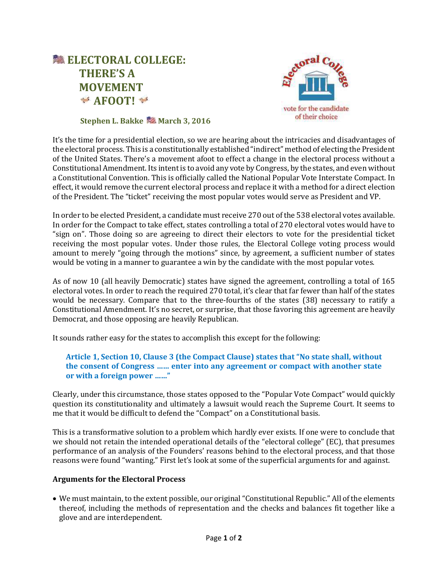



## **Stephen L. Bakke March 3, 2016**

It's the time for a presidential election, so we are hearing about the intricacies and disadvantages of the electoral process. This is a constitutionally established "indirect" method of electing the President of the United States. There's a movement afoot to effect a change in the electoral process without a Constitutional Amendment. Its intent is to avoid any vote by Congress, by the states, and even without a Constitutional Convention. This is officially called the National Popular Vote Interstate Compact. In effect, it would remove the current electoral process and replace it with a method for a direct election of the President. The "ticket" receiving the most popular votes would serve as President and VP.

In order to be elected President, a candidate must receive 270 out of the 538 electoral votes available. In order for the Compact to take effect, states controlling a total of 270 electoral votes would have to "sign on". Those doing so are agreeing to direct their electors to vote for the presidential ticket receiving the most popular votes. Under those rules, the Electoral College voting process would amount to merely "going through the motions" since, by agreement, a sufficient number of states would be voting in a manner to guarantee a win by the candidate with the most popular votes.

As of now 10 (all heavily Democratic) states have signed the agreement, controlling a total of 165 electoral votes. In order to reach the required 270 total, it's clear that far fewer than half of the states would be necessary. Compare that to the three-fourths of the states (38) necessary to ratify a Constitutional Amendment. It's no secret, or surprise, that those favoring this agreement are heavily Democrat, and those opposing are heavily Republican.

It sounds rather easy for the states to accomplish this except for the following:

## **Article 1, Section 10, Clause 3 (the Compact Clause) states that "No state shall, without the consent of Congress …… enter into any agreement or compact with another state or with a foreign power ……"**

Clearly, under this circumstance, those states opposed to the "Popular Vote Compact" would quickly question its constitutionality and ultimately a lawsuit would reach the Supreme Court. It seems to me that it would be difficult to defend the "Compact" on a Constitutional basis.

This is a transformative solution to a problem which hardly ever exists. If one were to conclude that we should not retain the intended operational details of the "electoral college" (EC), that presumes performance of an analysis of the Founders' reasons behind to the electoral process, and that those reasons were found "wanting." First let's look at some of the superficial arguments for and against.

## **Arguments for the Electoral Process**

 We must maintain, to the extent possible, our original "Constitutional Republic." All of the elements thereof, including the methods of representation and the checks and balances fit together like a glove and are interdependent.